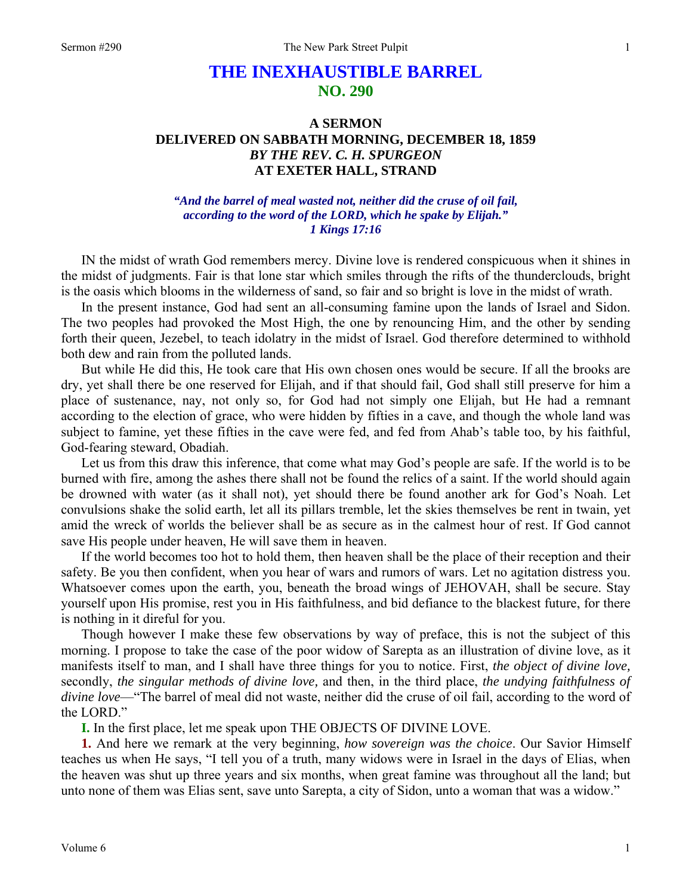## **THE INEXHAUSTIBLE BARREL NO. 290**

## **A SERMON DELIVERED ON SABBATH MORNING, DECEMBER 18, 1859**  *BY THE REV. C. H. SPURGEON*  **AT EXETER HALL, STRAND**

## *"And the barrel of meal wasted not, neither did the cruse of oil fail, according to the word of the LORD, which he spake by Elijah." 1 Kings 17:16*

IN the midst of wrath God remembers mercy. Divine love is rendered conspicuous when it shines in the midst of judgments. Fair is that lone star which smiles through the rifts of the thunderclouds, bright is the oasis which blooms in the wilderness of sand, so fair and so bright is love in the midst of wrath.

In the present instance, God had sent an all-consuming famine upon the lands of Israel and Sidon. The two peoples had provoked the Most High, the one by renouncing Him, and the other by sending forth their queen, Jezebel, to teach idolatry in the midst of Israel. God therefore determined to withhold both dew and rain from the polluted lands.

But while He did this, He took care that His own chosen ones would be secure. If all the brooks are dry, yet shall there be one reserved for Elijah, and if that should fail, God shall still preserve for him a place of sustenance, nay, not only so, for God had not simply one Elijah, but He had a remnant according to the election of grace, who were hidden by fifties in a cave, and though the whole land was subject to famine, yet these fifties in the cave were fed, and fed from Ahab's table too, by his faithful, God-fearing steward, Obadiah.

Let us from this draw this inference, that come what may God's people are safe. If the world is to be burned with fire, among the ashes there shall not be found the relics of a saint. If the world should again be drowned with water (as it shall not), yet should there be found another ark for God's Noah. Let convulsions shake the solid earth, let all its pillars tremble, let the skies themselves be rent in twain, yet amid the wreck of worlds the believer shall be as secure as in the calmest hour of rest. If God cannot save His people under heaven, He will save them in heaven.

If the world becomes too hot to hold them, then heaven shall be the place of their reception and their safety. Be you then confident, when you hear of wars and rumors of wars. Let no agitation distress you. Whatsoever comes upon the earth, you, beneath the broad wings of JEHOVAH, shall be secure. Stay yourself upon His promise, rest you in His faithfulness, and bid defiance to the blackest future, for there is nothing in it direful for you.

Though however I make these few observations by way of preface, this is not the subject of this morning. I propose to take the case of the poor widow of Sarepta as an illustration of divine love, as it manifests itself to man, and I shall have three things for you to notice. First, *the object of divine love,* secondly, *the singular methods of divine love,* and then, in the third place, *the undying faithfulness of divine love*—"The barrel of meal did not waste, neither did the cruse of oil fail, according to the word of the LORD."

**I.** In the first place, let me speak upon THE OBJECTS OF DIVINE LOVE.

**1.** And here we remark at the very beginning, *how sovereign was the choice*. Our Savior Himself teaches us when He says, "I tell you of a truth, many widows were in Israel in the days of Elias, when the heaven was shut up three years and six months, when great famine was throughout all the land; but unto none of them was Elias sent, save unto Sarepta, a city of Sidon, unto a woman that was a widow."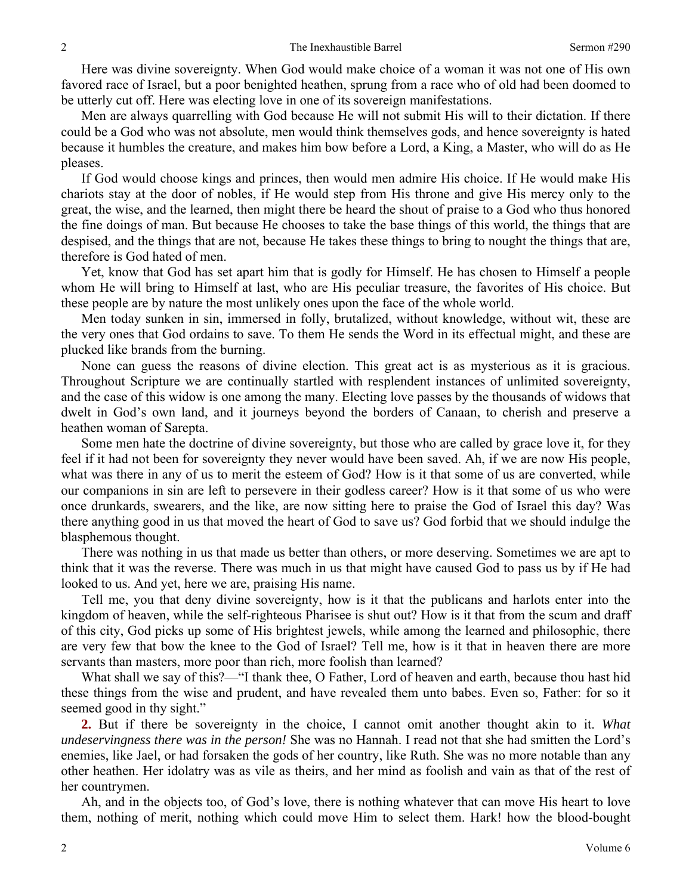Here was divine sovereignty. When God would make choice of a woman it was not one of His own favored race of Israel, but a poor benighted heathen, sprung from a race who of old had been doomed to be utterly cut off. Here was electing love in one of its sovereign manifestations.

Men are always quarrelling with God because He will not submit His will to their dictation. If there could be a God who was not absolute, men would think themselves gods, and hence sovereignty is hated because it humbles the creature, and makes him bow before a Lord, a King, a Master, who will do as He pleases.

If God would choose kings and princes, then would men admire His choice. If He would make His chariots stay at the door of nobles, if He would step from His throne and give His mercy only to the great, the wise, and the learned, then might there be heard the shout of praise to a God who thus honored the fine doings of man. But because He chooses to take the base things of this world, the things that are despised, and the things that are not, because He takes these things to bring to nought the things that are, therefore is God hated of men.

Yet, know that God has set apart him that is godly for Himself. He has chosen to Himself a people whom He will bring to Himself at last, who are His peculiar treasure, the favorites of His choice. But these people are by nature the most unlikely ones upon the face of the whole world.

Men today sunken in sin, immersed in folly, brutalized, without knowledge, without wit, these are the very ones that God ordains to save. To them He sends the Word in its effectual might, and these are plucked like brands from the burning.

None can guess the reasons of divine election. This great act is as mysterious as it is gracious. Throughout Scripture we are continually startled with resplendent instances of unlimited sovereignty, and the case of this widow is one among the many. Electing love passes by the thousands of widows that dwelt in God's own land, and it journeys beyond the borders of Canaan, to cherish and preserve a heathen woman of Sarepta.

Some men hate the doctrine of divine sovereignty, but those who are called by grace love it, for they feel if it had not been for sovereignty they never would have been saved. Ah, if we are now His people, what was there in any of us to merit the esteem of God? How is it that some of us are converted, while our companions in sin are left to persevere in their godless career? How is it that some of us who were once drunkards, swearers, and the like, are now sitting here to praise the God of Israel this day? Was there anything good in us that moved the heart of God to save us? God forbid that we should indulge the blasphemous thought.

There was nothing in us that made us better than others, or more deserving. Sometimes we are apt to think that it was the reverse. There was much in us that might have caused God to pass us by if He had looked to us. And yet, here we are, praising His name.

Tell me, you that deny divine sovereignty, how is it that the publicans and harlots enter into the kingdom of heaven, while the self-righteous Pharisee is shut out? How is it that from the scum and draff of this city, God picks up some of His brightest jewels, while among the learned and philosophic, there are very few that bow the knee to the God of Israel? Tell me, how is it that in heaven there are more servants than masters, more poor than rich, more foolish than learned?

What shall we say of this?—"I thank thee, O Father, Lord of heaven and earth, because thou hast hid these things from the wise and prudent, and have revealed them unto babes. Even so, Father: for so it seemed good in thy sight."

**2.** But if there be sovereignty in the choice, I cannot omit another thought akin to it. *What undeservingness there was in the person!* She was no Hannah. I read not that she had smitten the Lord's enemies, like Jael, or had forsaken the gods of her country, like Ruth. She was no more notable than any other heathen. Her idolatry was as vile as theirs, and her mind as foolish and vain as that of the rest of her countrymen.

Ah, and in the objects too, of God's love, there is nothing whatever that can move His heart to love them, nothing of merit, nothing which could move Him to select them. Hark! how the blood-bought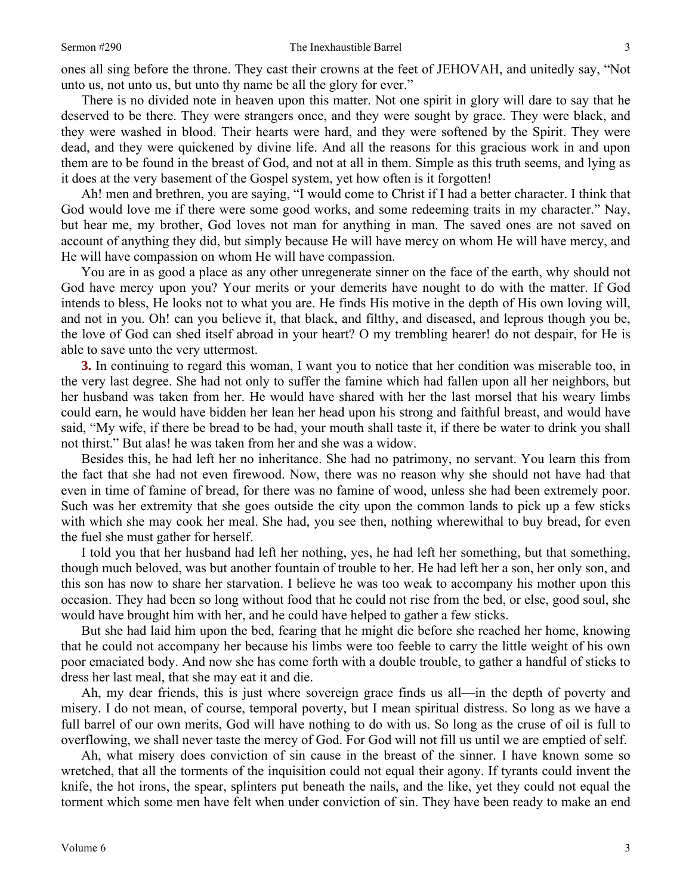There is no divided note in heaven upon this matter. Not one spirit in glory will dare to say that he deserved to be there. They were strangers once, and they were sought by grace. They were black, and they were washed in blood. Their hearts were hard, and they were softened by the Spirit. They were dead, and they were quickened by divine life. And all the reasons for this gracious work in and upon them are to be found in the breast of God, and not at all in them. Simple as this truth seems, and lying as it does at the very basement of the Gospel system, yet how often is it forgotten!

Ah! men and brethren, you are saying, "I would come to Christ if I had a better character. I think that God would love me if there were some good works, and some redeeming traits in my character." Nay, but hear me, my brother, God loves not man for anything in man. The saved ones are not saved on account of anything they did, but simply because He will have mercy on whom He will have mercy, and He will have compassion on whom He will have compassion.

You are in as good a place as any other unregenerate sinner on the face of the earth, why should not God have mercy upon you? Your merits or your demerits have nought to do with the matter. If God intends to bless, He looks not to what you are. He finds His motive in the depth of His own loving will, and not in you. Oh! can you believe it, that black, and filthy, and diseased, and leprous though you be, the love of God can shed itself abroad in your heart? O my trembling hearer! do not despair, for He is able to save unto the very uttermost.

**3.** In continuing to regard this woman, I want you to notice that her condition was miserable too, in the very last degree. She had not only to suffer the famine which had fallen upon all her neighbors, but her husband was taken from her. He would have shared with her the last morsel that his weary limbs could earn, he would have bidden her lean her head upon his strong and faithful breast, and would have said, "My wife, if there be bread to be had, your mouth shall taste it, if there be water to drink you shall not thirst." But alas! he was taken from her and she was a widow.

Besides this, he had left her no inheritance. She had no patrimony, no servant. You learn this from the fact that she had not even firewood. Now, there was no reason why she should not have had that even in time of famine of bread, for there was no famine of wood, unless she had been extremely poor. Such was her extremity that she goes outside the city upon the common lands to pick up a few sticks with which she may cook her meal. She had, you see then, nothing wherewithal to buy bread, for even the fuel she must gather for herself.

I told you that her husband had left her nothing, yes, he had left her something, but that something, though much beloved, was but another fountain of trouble to her. He had left her a son, her only son, and this son has now to share her starvation. I believe he was too weak to accompany his mother upon this occasion. They had been so long without food that he could not rise from the bed, or else, good soul, she would have brought him with her, and he could have helped to gather a few sticks.

But she had laid him upon the bed, fearing that he might die before she reached her home, knowing that he could not accompany her because his limbs were too feeble to carry the little weight of his own poor emaciated body. And now she has come forth with a double trouble, to gather a handful of sticks to dress her last meal, that she may eat it and die.

Ah, my dear friends, this is just where sovereign grace finds us all—in the depth of poverty and misery. I do not mean, of course, temporal poverty, but I mean spiritual distress. So long as we have a full barrel of our own merits, God will have nothing to do with us. So long as the cruse of oil is full to overflowing, we shall never taste the mercy of God. For God will not fill us until we are emptied of self.

Ah, what misery does conviction of sin cause in the breast of the sinner. I have known some so wretched, that all the torments of the inquisition could not equal their agony. If tyrants could invent the knife, the hot irons, the spear, splinters put beneath the nails, and the like, yet they could not equal the torment which some men have felt when under conviction of sin. They have been ready to make an end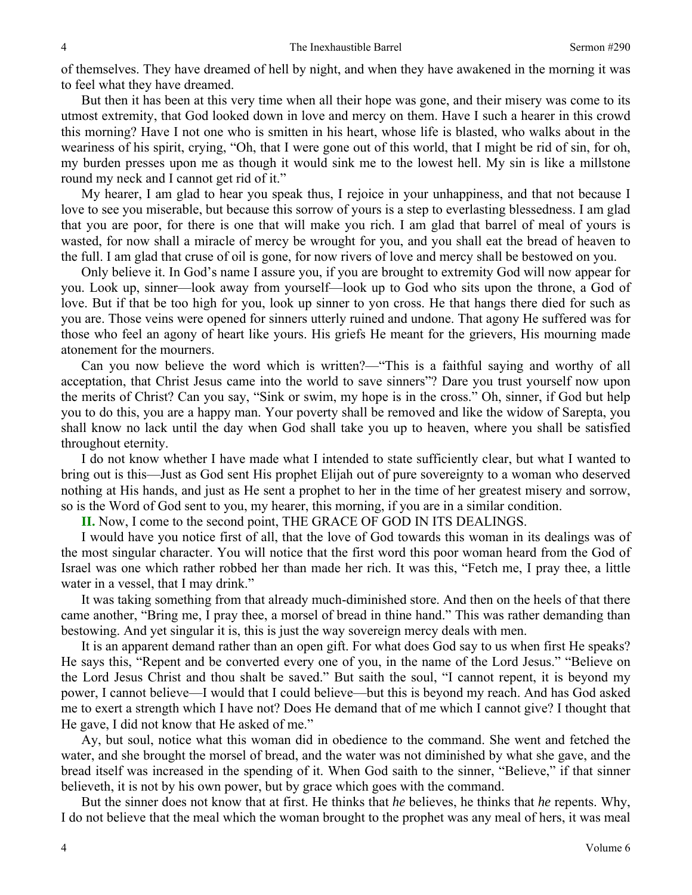of themselves. They have dreamed of hell by night, and when they have awakened in the morning it was to feel what they have dreamed.

But then it has been at this very time when all their hope was gone, and their misery was come to its utmost extremity, that God looked down in love and mercy on them. Have I such a hearer in this crowd this morning? Have I not one who is smitten in his heart, whose life is blasted, who walks about in the weariness of his spirit, crying, "Oh, that I were gone out of this world, that I might be rid of sin, for oh, my burden presses upon me as though it would sink me to the lowest hell. My sin is like a millstone round my neck and I cannot get rid of it."

My hearer, I am glad to hear you speak thus, I rejoice in your unhappiness, and that not because I love to see you miserable, but because this sorrow of yours is a step to everlasting blessedness. I am glad that you are poor, for there is one that will make you rich. I am glad that barrel of meal of yours is wasted, for now shall a miracle of mercy be wrought for you, and you shall eat the bread of heaven to the full. I am glad that cruse of oil is gone, for now rivers of love and mercy shall be bestowed on you.

Only believe it. In God's name I assure you, if you are brought to extremity God will now appear for you. Look up, sinner—look away from yourself—look up to God who sits upon the throne, a God of love. But if that be too high for you, look up sinner to yon cross. He that hangs there died for such as you are. Those veins were opened for sinners utterly ruined and undone. That agony He suffered was for those who feel an agony of heart like yours. His griefs He meant for the grievers, His mourning made atonement for the mourners.

Can you now believe the word which is written?—"This is a faithful saying and worthy of all acceptation, that Christ Jesus came into the world to save sinners"? Dare you trust yourself now upon the merits of Christ? Can you say, "Sink or swim, my hope is in the cross." Oh, sinner, if God but help you to do this, you are a happy man. Your poverty shall be removed and like the widow of Sarepta, you shall know no lack until the day when God shall take you up to heaven, where you shall be satisfied throughout eternity.

I do not know whether I have made what I intended to state sufficiently clear, but what I wanted to bring out is this—Just as God sent His prophet Elijah out of pure sovereignty to a woman who deserved nothing at His hands, and just as He sent a prophet to her in the time of her greatest misery and sorrow, so is the Word of God sent to you, my hearer, this morning, if you are in a similar condition.

**II.** Now, I come to the second point, THE GRACE OF GOD IN ITS DEALINGS.

I would have you notice first of all, that the love of God towards this woman in its dealings was of the most singular character. You will notice that the first word this poor woman heard from the God of Israel was one which rather robbed her than made her rich. It was this, "Fetch me, I pray thee, a little water in a vessel, that I may drink."

It was taking something from that already much-diminished store. And then on the heels of that there came another, "Bring me, I pray thee, a morsel of bread in thine hand." This was rather demanding than bestowing. And yet singular it is, this is just the way sovereign mercy deals with men.

It is an apparent demand rather than an open gift. For what does God say to us when first He speaks? He says this, "Repent and be converted every one of you, in the name of the Lord Jesus." "Believe on the Lord Jesus Christ and thou shalt be saved." But saith the soul, "I cannot repent, it is beyond my power, I cannot believe—I would that I could believe—but this is beyond my reach. And has God asked me to exert a strength which I have not? Does He demand that of me which I cannot give? I thought that He gave, I did not know that He asked of me."

Ay, but soul, notice what this woman did in obedience to the command. She went and fetched the water, and she brought the morsel of bread, and the water was not diminished by what she gave, and the bread itself was increased in the spending of it. When God saith to the sinner, "Believe," if that sinner believeth, it is not by his own power, but by grace which goes with the command.

But the sinner does not know that at first. He thinks that *he* believes, he thinks that *he* repents. Why, I do not believe that the meal which the woman brought to the prophet was any meal of hers, it was meal

4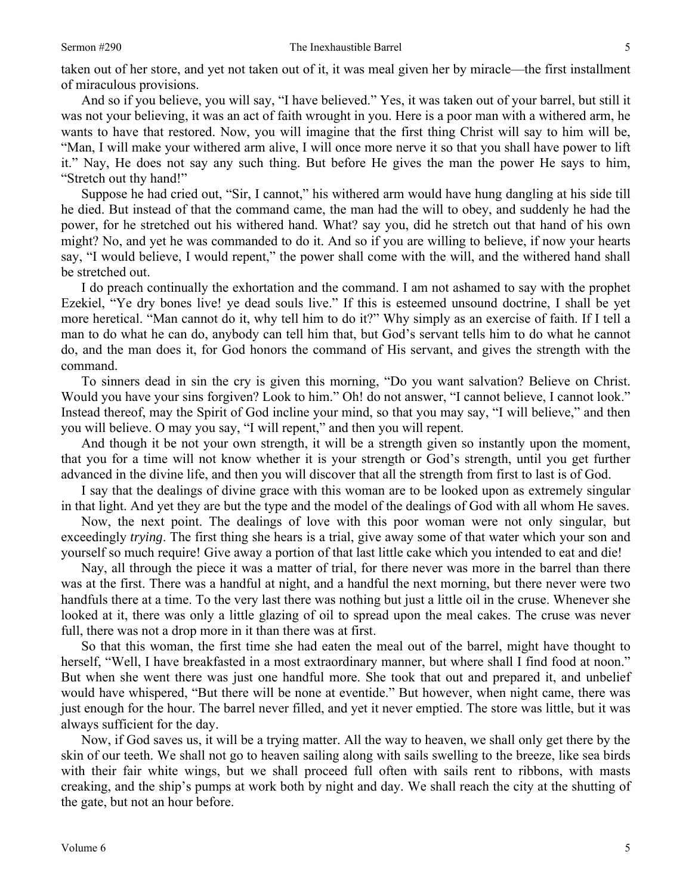taken out of her store, and yet not taken out of it, it was meal given her by miracle—the first installment of miraculous provisions.

And so if you believe, you will say, "I have believed." Yes, it was taken out of your barrel, but still it was not your believing, it was an act of faith wrought in you. Here is a poor man with a withered arm, he wants to have that restored. Now, you will imagine that the first thing Christ will say to him will be, "Man, I will make your withered arm alive, I will once more nerve it so that you shall have power to lift it." Nay, He does not say any such thing. But before He gives the man the power He says to him, "Stretch out thy hand!"

Suppose he had cried out, "Sir, I cannot," his withered arm would have hung dangling at his side till he died. But instead of that the command came, the man had the will to obey, and suddenly he had the power, for he stretched out his withered hand. What? say you, did he stretch out that hand of his own might? No, and yet he was commanded to do it. And so if you are willing to believe, if now your hearts say, "I would believe, I would repent," the power shall come with the will, and the withered hand shall be stretched out.

I do preach continually the exhortation and the command. I am not ashamed to say with the prophet Ezekiel, "Ye dry bones live! ye dead souls live." If this is esteemed unsound doctrine, I shall be yet more heretical. "Man cannot do it, why tell him to do it?" Why simply as an exercise of faith. If I tell a man to do what he can do, anybody can tell him that, but God's servant tells him to do what he cannot do, and the man does it, for God honors the command of His servant, and gives the strength with the command.

To sinners dead in sin the cry is given this morning, "Do you want salvation? Believe on Christ. Would you have your sins forgiven? Look to him." Oh! do not answer, "I cannot believe, I cannot look." Instead thereof, may the Spirit of God incline your mind, so that you may say, "I will believe," and then you will believe. O may you say, "I will repent," and then you will repent.

And though it be not your own strength, it will be a strength given so instantly upon the moment, that you for a time will not know whether it is your strength or God's strength, until you get further advanced in the divine life, and then you will discover that all the strength from first to last is of God.

I say that the dealings of divine grace with this woman are to be looked upon as extremely singular in that light. And yet they are but the type and the model of the dealings of God with all whom He saves.

Now, the next point. The dealings of love with this poor woman were not only singular, but exceedingly *trying*. The first thing she hears is a trial, give away some of that water which your son and yourself so much require! Give away a portion of that last little cake which you intended to eat and die!

Nay, all through the piece it was a matter of trial, for there never was more in the barrel than there was at the first. There was a handful at night, and a handful the next morning, but there never were two handfuls there at a time. To the very last there was nothing but just a little oil in the cruse. Whenever she looked at it, there was only a little glazing of oil to spread upon the meal cakes. The cruse was never full, there was not a drop more in it than there was at first.

So that this woman, the first time she had eaten the meal out of the barrel, might have thought to herself, "Well, I have breakfasted in a most extraordinary manner, but where shall I find food at noon." But when she went there was just one handful more. She took that out and prepared it, and unbelief would have whispered, "But there will be none at eventide." But however, when night came, there was just enough for the hour. The barrel never filled, and yet it never emptied. The store was little, but it was always sufficient for the day.

Now, if God saves us, it will be a trying matter. All the way to heaven, we shall only get there by the skin of our teeth. We shall not go to heaven sailing along with sails swelling to the breeze, like sea birds with their fair white wings, but we shall proceed full often with sails rent to ribbons, with masts creaking, and the ship's pumps at work both by night and day. We shall reach the city at the shutting of the gate, but not an hour before.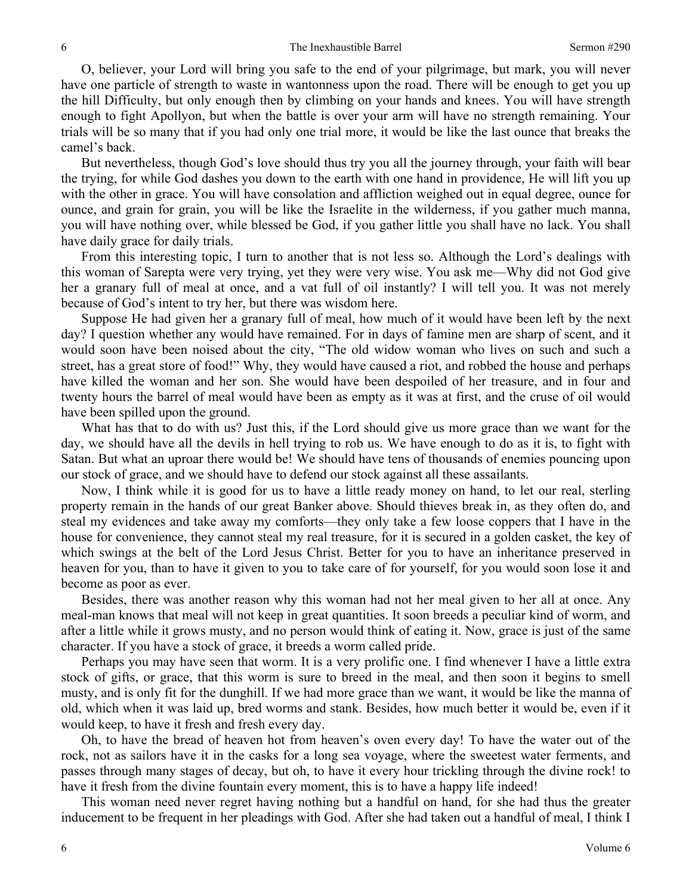O, believer, your Lord will bring you safe to the end of your pilgrimage, but mark, you will never have one particle of strength to waste in wantonness upon the road. There will be enough to get you up the hill Difficulty, but only enough then by climbing on your hands and knees. You will have strength enough to fight Apollyon, but when the battle is over your arm will have no strength remaining. Your trials will be so many that if you had only one trial more, it would be like the last ounce that breaks the camel's back.

But nevertheless, though God's love should thus try you all the journey through, your faith will bear the trying, for while God dashes you down to the earth with one hand in providence, He will lift you up with the other in grace. You will have consolation and affliction weighed out in equal degree, ounce for ounce, and grain for grain, you will be like the Israelite in the wilderness, if you gather much manna, you will have nothing over, while blessed be God, if you gather little you shall have no lack. You shall have daily grace for daily trials.

From this interesting topic, I turn to another that is not less so. Although the Lord's dealings with this woman of Sarepta were very trying, yet they were very wise. You ask me—Why did not God give her a granary full of meal at once, and a vat full of oil instantly? I will tell you. It was not merely because of God's intent to try her, but there was wisdom here.

Suppose He had given her a granary full of meal, how much of it would have been left by the next day? I question whether any would have remained. For in days of famine men are sharp of scent, and it would soon have been noised about the city, "The old widow woman who lives on such and such a street, has a great store of food!" Why, they would have caused a riot, and robbed the house and perhaps have killed the woman and her son. She would have been despoiled of her treasure, and in four and twenty hours the barrel of meal would have been as empty as it was at first, and the cruse of oil would have been spilled upon the ground.

What has that to do with us? Just this, if the Lord should give us more grace than we want for the day, we should have all the devils in hell trying to rob us. We have enough to do as it is, to fight with Satan. But what an uproar there would be! We should have tens of thousands of enemies pouncing upon our stock of grace, and we should have to defend our stock against all these assailants.

Now, I think while it is good for us to have a little ready money on hand, to let our real, sterling property remain in the hands of our great Banker above. Should thieves break in, as they often do, and steal my evidences and take away my comforts—they only take a few loose coppers that I have in the house for convenience, they cannot steal my real treasure, for it is secured in a golden casket, the key of which swings at the belt of the Lord Jesus Christ. Better for you to have an inheritance preserved in heaven for you, than to have it given to you to take care of for yourself, for you would soon lose it and become as poor as ever.

Besides, there was another reason why this woman had not her meal given to her all at once. Any meal-man knows that meal will not keep in great quantities. It soon breeds a peculiar kind of worm, and after a little while it grows musty, and no person would think of eating it. Now, grace is just of the same character. If you have a stock of grace, it breeds a worm called pride.

Perhaps you may have seen that worm. It is a very prolific one. I find whenever I have a little extra stock of gifts, or grace, that this worm is sure to breed in the meal, and then soon it begins to smell musty, and is only fit for the dunghill. If we had more grace than we want, it would be like the manna of old, which when it was laid up, bred worms and stank. Besides, how much better it would be, even if it would keep, to have it fresh and fresh every day.

Oh, to have the bread of heaven hot from heaven's oven every day! To have the water out of the rock, not as sailors have it in the casks for a long sea voyage, where the sweetest water ferments, and passes through many stages of decay, but oh, to have it every hour trickling through the divine rock! to have it fresh from the divine fountain every moment, this is to have a happy life indeed!

This woman need never regret having nothing but a handful on hand, for she had thus the greater inducement to be frequent in her pleadings with God. After she had taken out a handful of meal, I think I

6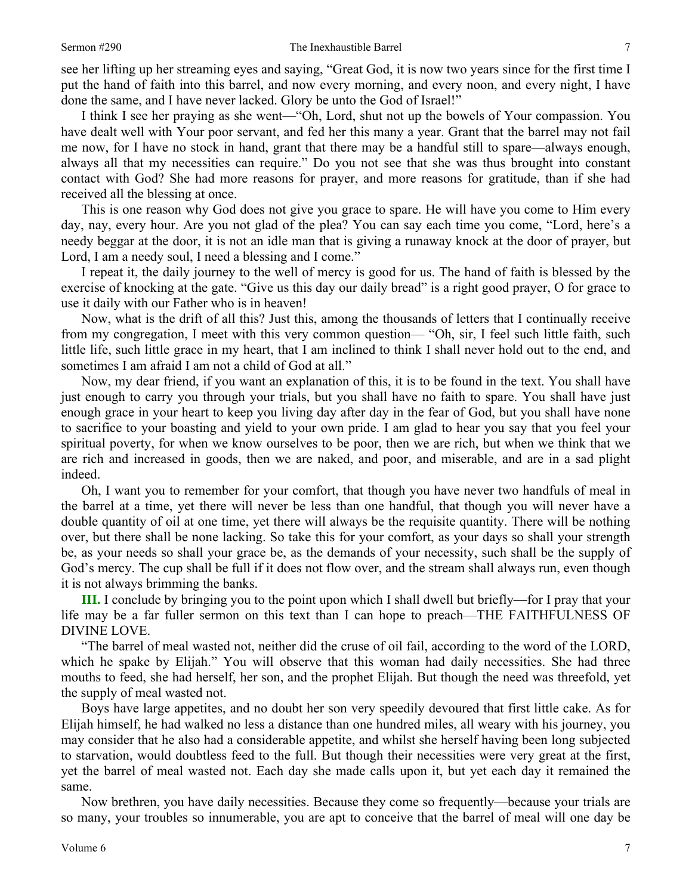see her lifting up her streaming eyes and saying, "Great God, it is now two years since for the first time I put the hand of faith into this barrel, and now every morning, and every noon, and every night, I have done the same, and I have never lacked. Glory be unto the God of Israel!"

I think I see her praying as she went—"Oh, Lord, shut not up the bowels of Your compassion. You have dealt well with Your poor servant, and fed her this many a year. Grant that the barrel may not fail me now, for I have no stock in hand, grant that there may be a handful still to spare—always enough, always all that my necessities can require." Do you not see that she was thus brought into constant contact with God? She had more reasons for prayer, and more reasons for gratitude, than if she had received all the blessing at once.

This is one reason why God does not give you grace to spare. He will have you come to Him every day, nay, every hour. Are you not glad of the plea? You can say each time you come, "Lord, here's a needy beggar at the door, it is not an idle man that is giving a runaway knock at the door of prayer, but Lord, I am a needy soul, I need a blessing and I come."

I repeat it, the daily journey to the well of mercy is good for us. The hand of faith is blessed by the exercise of knocking at the gate. "Give us this day our daily bread" is a right good prayer, O for grace to use it daily with our Father who is in heaven!

Now, what is the drift of all this? Just this, among the thousands of letters that I continually receive from my congregation, I meet with this very common question— "Oh, sir, I feel such little faith, such little life, such little grace in my heart, that I am inclined to think I shall never hold out to the end, and sometimes I am afraid I am not a child of God at all."

Now, my dear friend, if you want an explanation of this, it is to be found in the text. You shall have just enough to carry you through your trials, but you shall have no faith to spare. You shall have just enough grace in your heart to keep you living day after day in the fear of God, but you shall have none to sacrifice to your boasting and yield to your own pride. I am glad to hear you say that you feel your spiritual poverty, for when we know ourselves to be poor, then we are rich, but when we think that we are rich and increased in goods, then we are naked, and poor, and miserable, and are in a sad plight indeed.

Oh, I want you to remember for your comfort, that though you have never two handfuls of meal in the barrel at a time, yet there will never be less than one handful, that though you will never have a double quantity of oil at one time, yet there will always be the requisite quantity. There will be nothing over, but there shall be none lacking. So take this for your comfort, as your days so shall your strength be, as your needs so shall your grace be, as the demands of your necessity, such shall be the supply of God's mercy. The cup shall be full if it does not flow over, and the stream shall always run, even though it is not always brimming the banks.

**III.** I conclude by bringing you to the point upon which I shall dwell but briefly—for I pray that your life may be a far fuller sermon on this text than I can hope to preach—THE FAITHFULNESS OF DIVINE LOVE.

"The barrel of meal wasted not, neither did the cruse of oil fail, according to the word of the LORD, which he spake by Elijah." You will observe that this woman had daily necessities. She had three mouths to feed, she had herself, her son, and the prophet Elijah. But though the need was threefold, yet the supply of meal wasted not.

Boys have large appetites, and no doubt her son very speedily devoured that first little cake. As for Elijah himself, he had walked no less a distance than one hundred miles, all weary with his journey, you may consider that he also had a considerable appetite, and whilst she herself having been long subjected to starvation, would doubtless feed to the full. But though their necessities were very great at the first, yet the barrel of meal wasted not. Each day she made calls upon it, but yet each day it remained the same.

Now brethren, you have daily necessities. Because they come so frequently—because your trials are so many, your troubles so innumerable, you are apt to conceive that the barrel of meal will one day be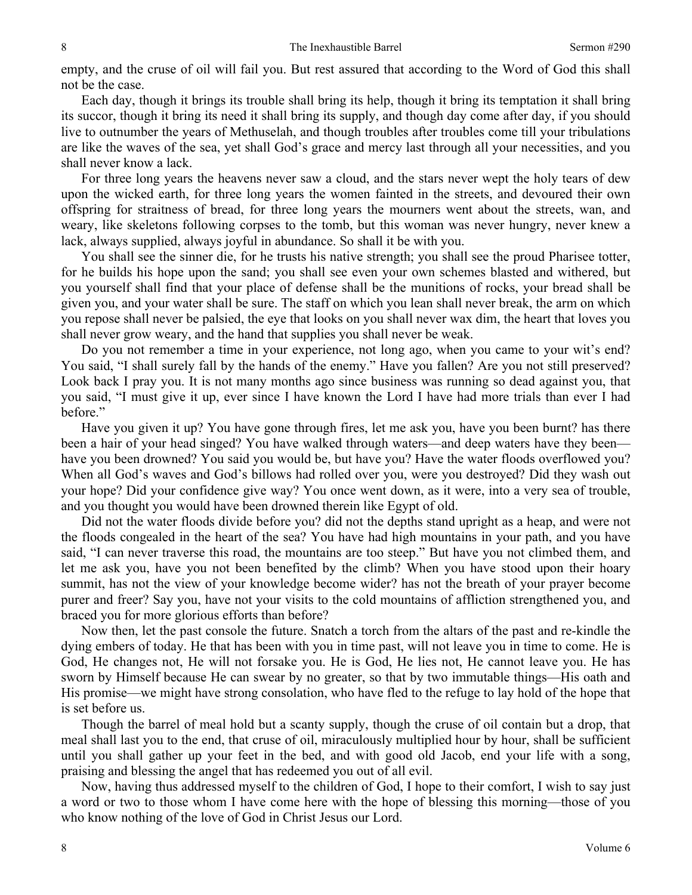empty, and the cruse of oil will fail you. But rest assured that according to the Word of God this shall not be the case.

Each day, though it brings its trouble shall bring its help, though it bring its temptation it shall bring its succor, though it bring its need it shall bring its supply, and though day come after day, if you should live to outnumber the years of Methuselah, and though troubles after troubles come till your tribulations are like the waves of the sea, yet shall God's grace and mercy last through all your necessities, and you shall never know a lack.

For three long years the heavens never saw a cloud, and the stars never wept the holy tears of dew upon the wicked earth, for three long years the women fainted in the streets, and devoured their own offspring for straitness of bread, for three long years the mourners went about the streets, wan, and weary, like skeletons following corpses to the tomb, but this woman was never hungry, never knew a lack, always supplied, always joyful in abundance. So shall it be with you.

You shall see the sinner die, for he trusts his native strength; you shall see the proud Pharisee totter, for he builds his hope upon the sand; you shall see even your own schemes blasted and withered, but you yourself shall find that your place of defense shall be the munitions of rocks, your bread shall be given you, and your water shall be sure. The staff on which you lean shall never break, the arm on which you repose shall never be palsied, the eye that looks on you shall never wax dim, the heart that loves you shall never grow weary, and the hand that supplies you shall never be weak.

Do you not remember a time in your experience, not long ago, when you came to your wit's end? You said, "I shall surely fall by the hands of the enemy." Have you fallen? Are you not still preserved? Look back I pray you. It is not many months ago since business was running so dead against you, that you said, "I must give it up, ever since I have known the Lord I have had more trials than ever I had before."

Have you given it up? You have gone through fires, let me ask you, have you been burnt? has there been a hair of your head singed? You have walked through waters—and deep waters have they been have you been drowned? You said you would be, but have you? Have the water floods overflowed you? When all God's waves and God's billows had rolled over you, were you destroyed? Did they wash out your hope? Did your confidence give way? You once went down, as it were, into a very sea of trouble, and you thought you would have been drowned therein like Egypt of old.

Did not the water floods divide before you? did not the depths stand upright as a heap, and were not the floods congealed in the heart of the sea? You have had high mountains in your path, and you have said, "I can never traverse this road, the mountains are too steep." But have you not climbed them, and let me ask you, have you not been benefited by the climb? When you have stood upon their hoary summit, has not the view of your knowledge become wider? has not the breath of your prayer become purer and freer? Say you, have not your visits to the cold mountains of affliction strengthened you, and braced you for more glorious efforts than before?

Now then, let the past console the future. Snatch a torch from the altars of the past and re-kindle the dying embers of today. He that has been with you in time past, will not leave you in time to come. He is God, He changes not, He will not forsake you. He is God, He lies not, He cannot leave you. He has sworn by Himself because He can swear by no greater, so that by two immutable things—His oath and His promise—we might have strong consolation, who have fled to the refuge to lay hold of the hope that is set before us.

Though the barrel of meal hold but a scanty supply, though the cruse of oil contain but a drop, that meal shall last you to the end, that cruse of oil, miraculously multiplied hour by hour, shall be sufficient until you shall gather up your feet in the bed, and with good old Jacob, end your life with a song, praising and blessing the angel that has redeemed you out of all evil.

Now, having thus addressed myself to the children of God, I hope to their comfort, I wish to say just a word or two to those whom I have come here with the hope of blessing this morning—those of you who know nothing of the love of God in Christ Jesus our Lord.